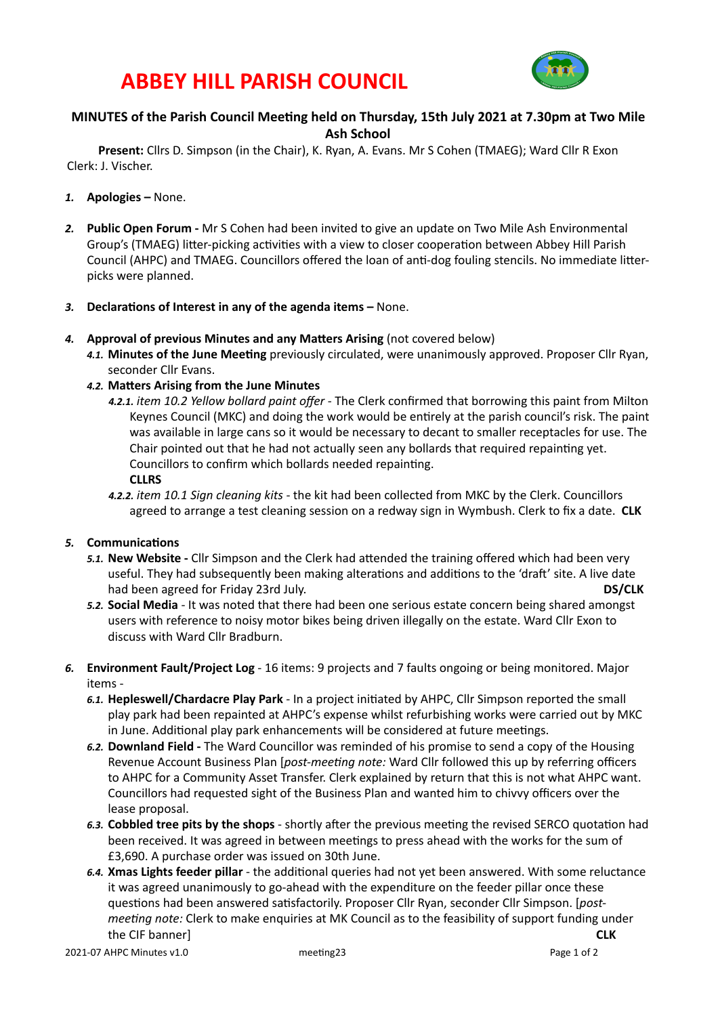## **ABBEY HILL PARISH COUNCIL**



### **MINUTES of the Parish Council Meeting held on Thursday, 15th July 2021 at 7.30pm at Two Mile Ash School**

Present: Cllrs D. Simpson (in the Chair), K. Ryan, A. Evans. Mr S Cohen (TMAEG); Ward Cllr R Exon Clerk: J. Vischer.

- 1. **Apologies** None.
- **2. Public Open Forum** Mr S Cohen had been invited to give an update on Two Mile Ash Environmental Group's (TMAEG) litter-picking activities with a view to closer cooperation between Abbey Hill Parish Council (AHPC) and TMAEG. Councillors offered the loan of anti-dog fouling stencils. No immediate litterpicks were planned.
- 3. **Declarations of Interest in any of the agenda items –** None.
- 4. **Approval of previous Minutes and any Matters Arising** (not covered below)
	- 4.1. Minutes of the June Meeting previously circulated, were unanimously approved. Proposer Cllr Ryan, seconder Cllr Evans.
	- 4.2. Matters Arising from the June Minutes
		- 4.2.1. *item* 10.2 Yellow bollard paint offer The Clerk confirmed that borrowing this paint from Milton Keynes Council (MKC) and doing the work would be entirely at the parish council's risk. The paint was available in large cans so it would be necessary to decant to smaller receptacles for use. The Chair pointed out that he had not actually seen any bollards that required repainting yet. Councillors to confirm which bollards needed repainting.

**CLLRS**

4.2.2. *item* 10.1 Sign cleaning kits - the kit had been collected from MKC by the Clerk. Councillors agreed to arrange a test cleaning session on a redway sign in Wymbush. Clerk to fix a date. CLK

#### **5.** Communications

- 5.1. **New Website** Cllr Simpson and the Clerk had attended the training offered which had been very useful. They had subsequently been making alterations and additions to the 'draft' site. A live date had been agreed for Friday 23rd July.  **DS/CLK**
- 5.2. **Social Media** It was noted that there had been one serious estate concern being shared amongst users with reference to noisy motor bikes being driven illegally on the estate. Ward Cllr Exon to discuss with Ward Cllr Bradburn.
- 6. **Environment Fault/Project Log** 16 items: 9 projects and 7 faults ongoing or being monitored. Major items -
	- 6.1. **Hepleswell/Chardacre Play Park** In a project initiated by AHPC, Cllr Simpson reported the small play park had been repainted at AHPC's expense whilst refurbishing works were carried out by MKC in June. Additional play park enhancements will be considered at future meetings.
	- 6.2. **Downland Field** The Ward Councillor was reminded of his promise to send a copy of the Housing Revenue Account Business Plan [*post-meeting note:* Ward Cllr followed this up by referring officers to AHPC for a Community Asset Transfer. Clerk explained by return that this is not what AHPC want. Councillors had requested sight of the Business Plan and wanted him to chivvy officers over the lease proposal.
	- 6.3. Cobbled tree pits by the shops shortly after the previous meeting the revised SERCO quotation had been received. It was agreed in between meetings to press ahead with the works for the sum of £3,690. A purchase order was issued on 30th June.
	- 6.4. **Xmas Lights feeder pillar** the additional queries had not yet been answered. With some reluctance it was agreed unanimously to go-ahead with the expenditure on the feeder pillar once these questions had been answered satisfactorily. Proposer Cllr Ryan, seconder Cllr Simpson. [post*meeting note:* Clerk to make enquiries at MK Council as to the feasibility of support funding under the CIF banner] **CLK**